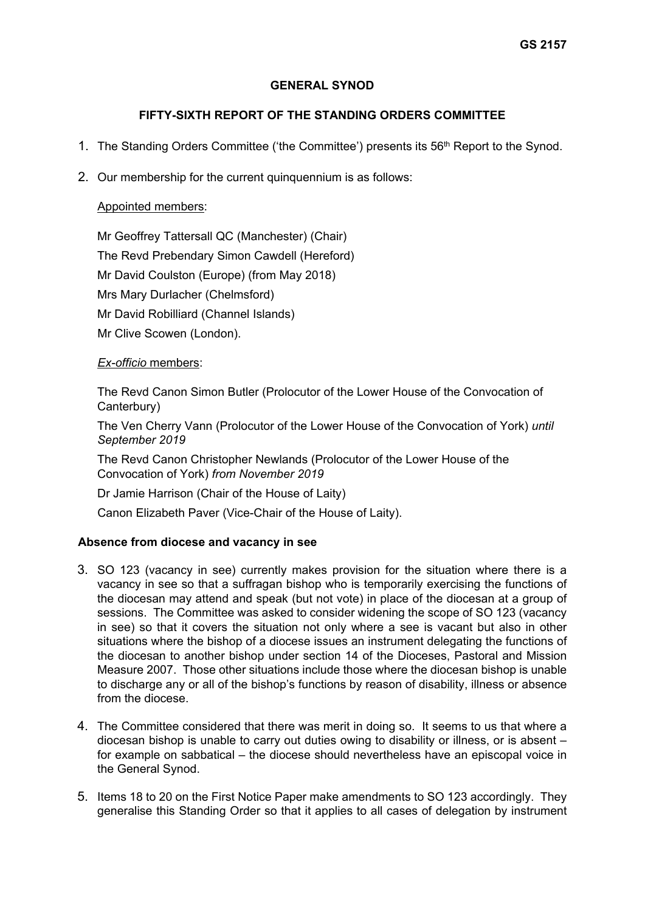## **GENERAL SYNOD**

# **FIFTY-SIXTH REPORT OF THE STANDING ORDERS COMMITTEE**

- 1. The Standing Orders Committee ('the Committee') presents its 56th Report to the Synod.
- 2. Our membership for the current quinquennium is as follows:

## Appointed members:

Mr Geoffrey Tattersall QC (Manchester) (Chair) The Revd Prebendary Simon Cawdell (Hereford) Mr David Coulston (Europe) (from May 2018) Mrs Mary Durlacher (Chelmsford) Mr David Robilliard (Channel Islands) Mr Clive Scowen (London).

### *Ex-officio* members:

The Revd Canon Simon Butler (Prolocutor of the Lower House of the Convocation of Canterbury)

The Ven Cherry Vann (Prolocutor of the Lower House of the Convocation of York) *until September 2019* 

The Revd Canon Christopher Newlands (Prolocutor of the Lower House of the Convocation of York) *from November 2019* 

Dr Jamie Harrison (Chair of the House of Laity)

Canon Elizabeth Paver (Vice-Chair of the House of Laity).

### **Absence from diocese and vacancy in see**

- 3. SO 123 (vacancy in see) currently makes provision for the situation where there is a vacancy in see so that a suffragan bishop who is temporarily exercising the functions of the diocesan may attend and speak (but not vote) in place of the diocesan at a group of sessions. The Committee was asked to consider widening the scope of SO 123 (vacancy in see) so that it covers the situation not only where a see is vacant but also in other situations where the bishop of a diocese issues an instrument delegating the functions of the diocesan to another bishop under section 14 of the Dioceses, Pastoral and Mission Measure 2007. Those other situations include those where the diocesan bishop is unable to discharge any or all of the bishop's functions by reason of disability, illness or absence from the diocese.
- 4. The Committee considered that there was merit in doing so. It seems to us that where a diocesan bishop is unable to carry out duties owing to disability or illness, or is absent – for example on sabbatical – the diocese should nevertheless have an episcopal voice in the General Synod.
- 5. Items 18 to 20 on the First Notice Paper make amendments to SO 123 accordingly. They generalise this Standing Order so that it applies to all cases of delegation by instrument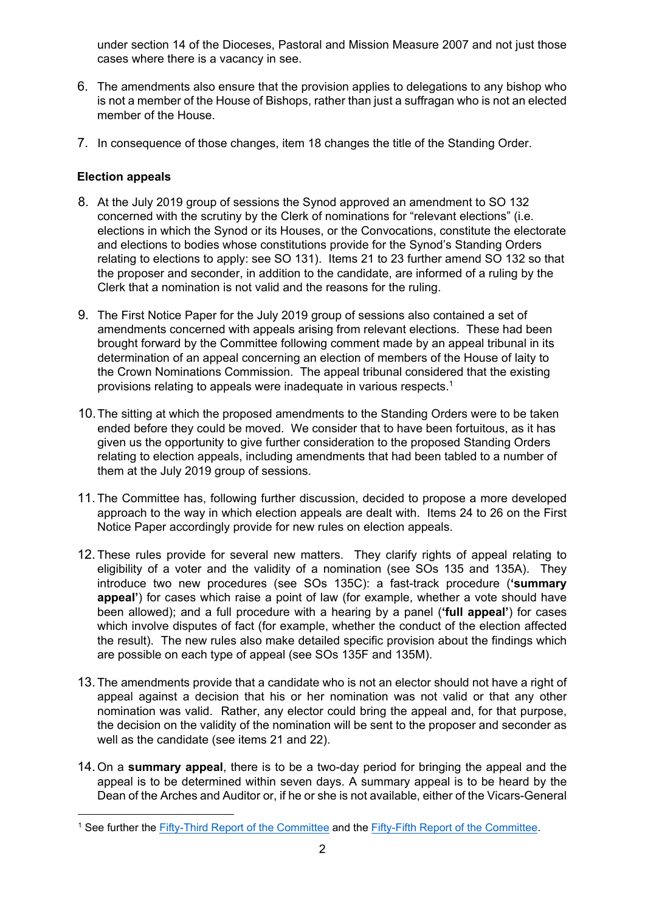under section 14 of the Dioceses, Pastoral and Mission Measure 2007 and not just those cases where there is a vacancy in see.

- 6. The amendments also ensure that the provision applies to delegations to any bishop who is not a member of the House of Bishops, rather than just a suffragan who is not an elected member of the House.
- 7. In consequence of those changes, item 18 changes the title of the Standing Order.

# **Election appeals**

- 8. At the July 2019 group of sessions the Synod approved an amendment to SO 132 concerned with the scrutiny by the Clerk of nominations for "relevant elections" (i.e. elections in which the Synod or its Houses, or the Convocations, constitute the electorate and elections to bodies whose constitutions provide for the Synod's Standing Orders relating to elections to apply: see SO 131). Items 21 to 23 further amend SO 132 so that the proposer and seconder, in addition to the candidate, are informed of a ruling by the Clerk that a nomination is not valid and the reasons for the ruling.
- 9. The First Notice Paper for the July 2019 group of sessions also contained a set of amendments concerned with appeals arising from relevant elections. These had been brought forward by the Committee following comment made by an appeal tribunal in its determination of an appeal concerning an election of members of the House of laity to the Crown Nominations Commission. The appeal tribunal considered that the existing provisions relating to appeals were inadequate in various respects.1
- 10. The sitting at which the proposed amendments to the Standing Orders were to be taken ended before they could be moved. We consider that to have been fortuitous, as it has given us the opportunity to give further consideration to the proposed Standing Orders relating to election appeals, including amendments that had been tabled to a number of them at the July 2019 group of sessions.
- 11. The Committee has, following further discussion, decided to propose a more developed approach to the way in which election appeals are dealt with. Items 24 to 26 on the First Notice Paper accordingly provide for new rules on election appeals.
- 12. These rules provide for several new matters. They clarify rights of appeal relating to eligibility of a voter and the validity of a nomination (see SOs 135 and 135A). They introduce two new procedures (see SOs 135C): a fast-track procedure (**'summary appeal'**) for cases which raise a point of law (for example, whether a vote should have been allowed); and a full procedure with a hearing by a panel (**'full appeal'**) for cases which involve disputes of fact (for example, whether the conduct of the election affected the result). The new rules also make detailed specific provision about the findings which are possible on each type of appeal (see SOs 135F and 135M).
- 13. The amendments provide that a candidate who is not an elector should not have a right of appeal against a decision that his or her nomination was not valid or that any other nomination was valid. Rather, any elector could bring the appeal and, for that purpose, the decision on the validity of the nomination will be sent to the proposer and seconder as well as the candidate (see items 21 and 22).
- 14. On a **summary appeal**, there is to be a two-day period for bringing the appeal and the appeal is to be determined within seven days. A summary appeal is to be heard by the Dean of the Arches and Auditor or, if he or she is not available, either of the Vicars-General

<sup>1</sup> See further the Fifty-Third Report of the Committee and the Fifty-Fifth Report of the Committee.